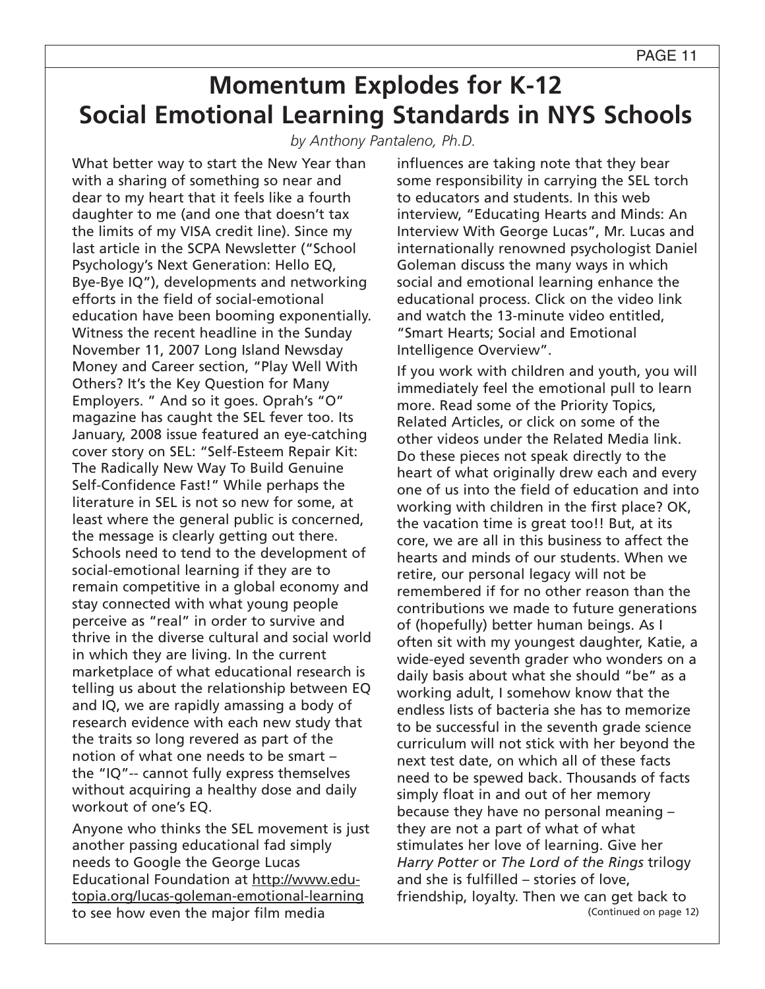## **Momentum Explodes for K-12 Social Emotional Learning Standards in NYS Schools**

*by Anthony Pantaleno, Ph.D.*

What better way to start the New Year than with a sharing of something so near and dear to my heart that it feels like a fourth daughter to me (and one that doesn't tax the limits of my VISA credit line). Since my last article in the SCPA Newsletter ("School Psychology's Next Generation: Hello EQ, Bye-Bye IQ"), developments and networking efforts in the field of social-emotional education have been booming exponentially. Witness the recent headline in the Sunday November 11, 2007 Long Island Newsday Money and Career section, "Play Well With Others? It's the Key Question for Many Employers. " And so it goes. Oprah's "O" magazine has caught the SEL fever too. Its January, 2008 issue featured an eye-catching cover story on SEL: "Self-Esteem Repair Kit: The Radically New Way To Build Genuine Self-Confidence Fast!" While perhaps the literature in SEL is not so new for some, at least where the general public is concerned, the message is clearly getting out there. Schools need to tend to the development of social-emotional learning if they are to remain competitive in a global economy and stay connected with what young people perceive as "real" in order to survive and thrive in the diverse cultural and social world in which they are living. In the current marketplace of what educational research is telling us about the relationship between EQ and IQ, we are rapidly amassing a body of research evidence with each new study that the traits so long revered as part of the notion of what one needs to be smart – the "IQ"-- cannot fully express themselves without acquiring a healthy dose and daily workout of one's EQ.

Anyone who thinks the SEL movement is just another passing educational fad simply needs to Google the George Lucas Educational Foundation at http://www.edutopia.org/lucas-goleman-emotional-learning to see how even the major film media

influences are taking note that they bear some responsibility in carrying the SEL torch to educators and students. In this web interview, "Educating Hearts and Minds: An Interview With George Lucas", Mr. Lucas and internationally renowned psychologist Daniel Goleman discuss the many ways in which social and emotional learning enhance the educational process. Click on the video link and watch the 13-minute video entitled, "Smart Hearts; Social and Emotional Intelligence Overview".

If you work with children and youth, you will immediately feel the emotional pull to learn more. Read some of the Priority Topics, Related Articles, or click on some of the other videos under the Related Media link. Do these pieces not speak directly to the heart of what originally drew each and every one of us into the field of education and into working with children in the first place? OK, the vacation time is great too!! But, at its core, we are all in this business to affect the hearts and minds of our students. When we retire, our personal legacy will not be remembered if for no other reason than the contributions we made to future generations of (hopefully) better human beings. As I often sit with my youngest daughter, Katie, a wide-eyed seventh grader who wonders on a daily basis about what she should "be" as a working adult, I somehow know that the endless lists of bacteria she has to memorize to be successful in the seventh grade science curriculum will not stick with her beyond the next test date, on which all of these facts need to be spewed back. Thousands of facts simply float in and out of her memory because they have no personal meaning – they are not a part of what of what stimulates her love of learning. Give her *Harry Potter* or *The Lord of the Rings* trilogy and she is fulfilled – stories of love, friendship, loyalty. Then we can get back to (Continued on page 12)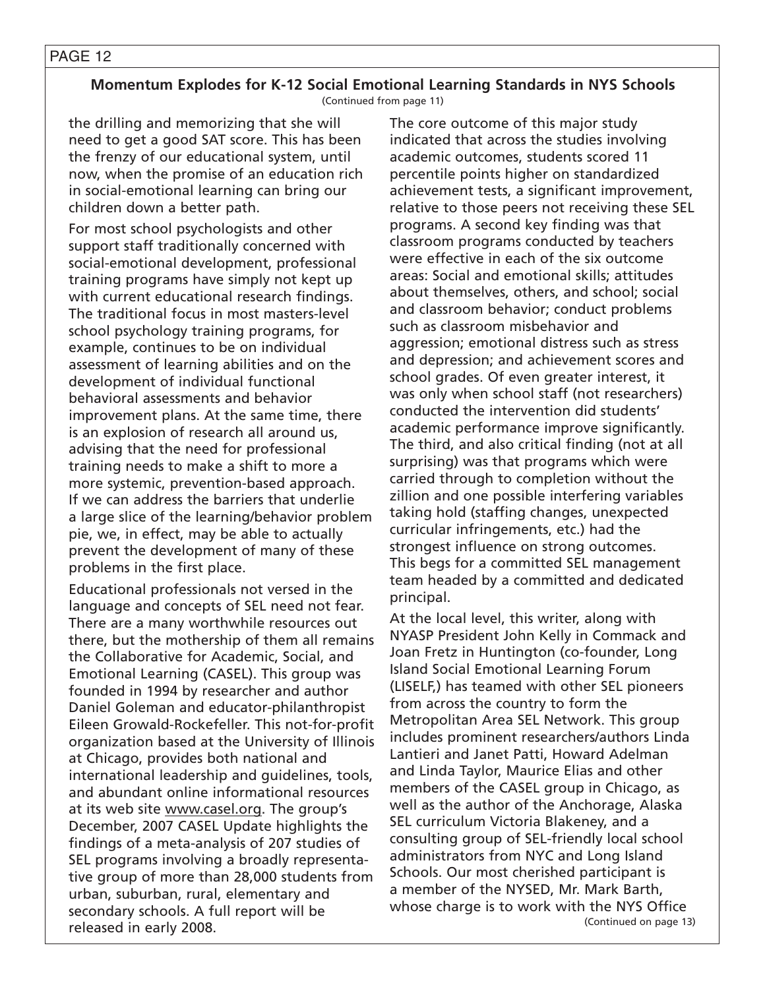#### PAGE 12

#### **Momentum Explodes for K-12 Social Emotional Learning Standards in NYS Schools** (Continued from page 11)

the drilling and memorizing that she will need to get a good SAT score. This has been the frenzy of our educational system, until now, when the promise of an education rich in social-emotional learning can bring our children down a better path.

For most school psychologists and other support staff traditionally concerned with social-emotional development, professional training programs have simply not kept up with current educational research findings. The traditional focus in most masters-level school psychology training programs, for example, continues to be on individual assessment of learning abilities and on the development of individual functional behavioral assessments and behavior improvement plans. At the same time, there is an explosion of research all around us, advising that the need for professional training needs to make a shift to more a more systemic, prevention-based approach. If we can address the barriers that underlie a large slice of the learning/behavior problem pie, we, in effect, may be able to actually prevent the development of many of these problems in the first place.

Educational professionals not versed in the language and concepts of SEL need not fear. There are a many worthwhile resources out there, but the mothership of them all remains the Collaborative for Academic, Social, and Emotional Learning (CASEL). This group was founded in 1994 by researcher and author Daniel Goleman and educator-philanthropist Eileen Growald-Rockefeller. This not-for-profit organization based at the University of Illinois at Chicago, provides both national and international leadership and guidelines, tools, and abundant online informational resources at its web site www.casel.org. The group's December, 2007 CASEL Update highlights the findings of a meta-analysis of 207 studies of SEL programs involving a broadly representative group of more than 28,000 students from urban, suburban, rural, elementary and secondary schools. A full report will be released in early 2008.

The core outcome of this major study indicated that across the studies involving academic outcomes, students scored 11 percentile points higher on standardized achievement tests, a significant improvement, relative to those peers not receiving these SEL programs. A second key finding was that classroom programs conducted by teachers were effective in each of the six outcome areas: Social and emotional skills; attitudes about themselves, others, and school; social and classroom behavior; conduct problems such as classroom misbehavior and aggression; emotional distress such as stress and depression; and achievement scores and school grades. Of even greater interest, it was only when school staff (not researchers) conducted the intervention did students' academic performance improve significantly. The third, and also critical finding (not at all surprising) was that programs which were carried through to completion without the zillion and one possible interfering variables taking hold (staffing changes, unexpected curricular infringements, etc.) had the strongest influence on strong outcomes. This begs for a committed SEL management team headed by a committed and dedicated principal.

At the local level, this writer, along with NYASP President John Kelly in Commack and Joan Fretz in Huntington (co-founder, Long Island Social Emotional Learning Forum (LISELF,) has teamed with other SEL pioneers from across the country to form the Metropolitan Area SEL Network. This group includes prominent researchers/authors Linda Lantieri and Janet Patti, Howard Adelman and Linda Taylor, Maurice Elias and other members of the CASEL group in Chicago, as well as the author of the Anchorage, Alaska SEL curriculum Victoria Blakeney, and a consulting group of SEL-friendly local school administrators from NYC and Long Island Schools. Our most cherished participant is a member of the NYSED, Mr. Mark Barth, whose charge is to work with the NYS Office (Continued on page 13)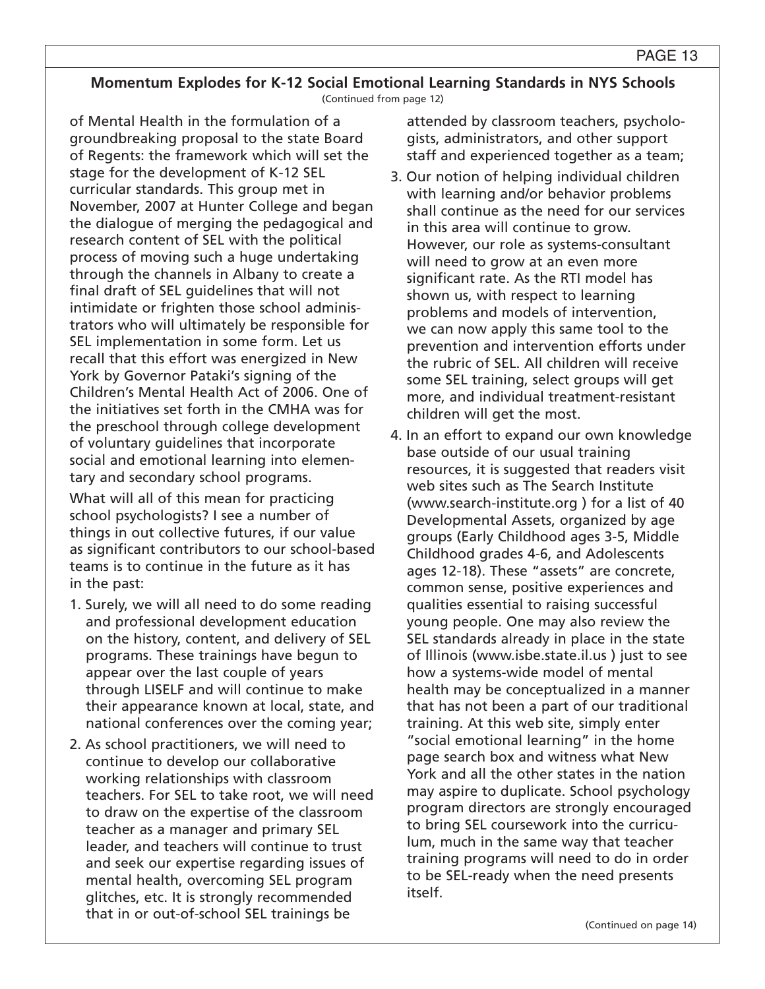### **Momentum Explodes for K-12 Social Emotional Learning Standards in NYS Schools**

(Continued from page 12)

of Mental Health in the formulation of a groundbreaking proposal to the state Board of Regents: the framework which will set the stage for the development of K-12 SEL curricular standards. This group met in November, 2007 at Hunter College and began the dialogue of merging the pedagogical and research content of SEL with the political process of moving such a huge undertaking through the channels in Albany to create a final draft of SEL guidelines that will not intimidate or frighten those school administrators who will ultimately be responsible for SEL implementation in some form. Let us recall that this effort was energized in New York by Governor Pataki's signing of the Children's Mental Health Act of 2006. One of the initiatives set forth in the CMHA was for the preschool through college development of voluntary guidelines that incorporate social and emotional learning into elementary and secondary school programs.

What will all of this mean for practicing school psychologists? I see a number of things in out collective futures, if our value as significant contributors to our school-based teams is to continue in the future as it has in the past:

- 1. Surely, we will all need to do some reading and professional development education on the history, content, and delivery of SEL programs. These trainings have begun to appear over the last couple of years through LISELF and will continue to make their appearance known at local, state, and national conferences over the coming year;
- 2. As school practitioners, we will need to continue to develop our collaborative working relationships with classroom teachers. For SEL to take root, we will need to draw on the expertise of the classroom teacher as a manager and primary SEL leader, and teachers will continue to trust and seek our expertise regarding issues of mental health, overcoming SEL program glitches, etc. It is strongly recommended that in or out-of-school SEL trainings be

attended by classroom teachers, psychologists, administrators, and other support staff and experienced together as a team;

- 3. Our notion of helping individual children with learning and/or behavior problems shall continue as the need for our services in this area will continue to grow. However, our role as systems-consultant will need to grow at an even more significant rate. As the RTI model has shown us, with respect to learning problems and models of intervention, we can now apply this same tool to the prevention and intervention efforts under the rubric of SEL. All children will receive some SEL training, select groups will get more, and individual treatment-resistant children will get the most.
- 4. In an effort to expand our own knowledge base outside of our usual training resources, it is suggested that readers visit web sites such as The Search Institute (www.search-institute.org ) for a list of 40 Developmental Assets, organized by age groups (Early Childhood ages 3-5, Middle Childhood grades 4-6, and Adolescents ages 12-18). These "assets" are concrete, common sense, positive experiences and qualities essential to raising successful young people. One may also review the SEL standards already in place in the state of Illinois (www.isbe.state.il.us ) just to see how a systems-wide model of mental health may be conceptualized in a manner that has not been a part of our traditional training. At this web site, simply enter "social emotional learning" in the home page search box and witness what New York and all the other states in the nation may aspire to duplicate. School psychology program directors are strongly encouraged to bring SEL coursework into the curriculum, much in the same way that teacher training programs will need to do in order to be SEL-ready when the need presents itself.